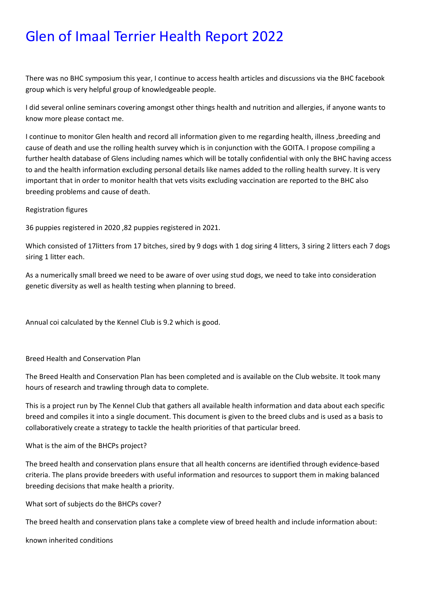# Glen of Imaal Terrier Health Report 2022

There was no BHC symposium this year, I continue to access health articles and discussions via the BHC facebook group which is very helpful group of knowledgeable people.

I did several online seminars covering amongst other things health and nutrition and allergies, if anyone wants to know more please contact me.

I continue to monitor Glen health and record all information given to me regarding health, illness ,breeding and cause of death and use the rolling health survey which is in conjunction with the GOITA. I propose compiling a further health database of Glens including names which will be totally confidential with only the BHC having access to and the health information excluding personal details like names added to the rolling health survey. It is very important that in order to monitor health that vets visits excluding vaccination are reported to the BHC also breeding problems and cause of death.

#### Registration figures

36 puppies registered in 2020 ,82 puppies registered in 2021.

Which consisted of 17litters from 17 bitches, sired by 9 dogs with 1 dog siring 4 litters, 3 siring 2 litters each 7 dogs siring 1 litter each.

As a numerically small breed we need to be aware of over using stud dogs, we need to take into consideration genetic diversity as well as health testing when planning to breed.

Annual coi calculated by the Kennel Club is 9.2 which is good.

#### Breed Health and Conservation Plan

The Breed Health and Conservation Plan has been completed and is available on the Club website. It took many hours of research and trawling through data to complete.

This is a project run by The Kennel Club that gathers all available health information and data about each specific breed and compiles it into a single document. This document is given to the breed clubs and is used as a basis to collaboratively create a strategy to tackle the health priorities of that particular breed.

#### What is the aim of the BHCPs project?

The breed health and conservation plans ensure that all health concerns are identified through evidence-based criteria. The plans provide breeders with useful information and resources to support them in making balanced breeding decisions that make health a priority.

What sort of subjects do the BHCPs cover?

The breed health and conservation plans take a complete view of breed health and include information about:

known inherited conditions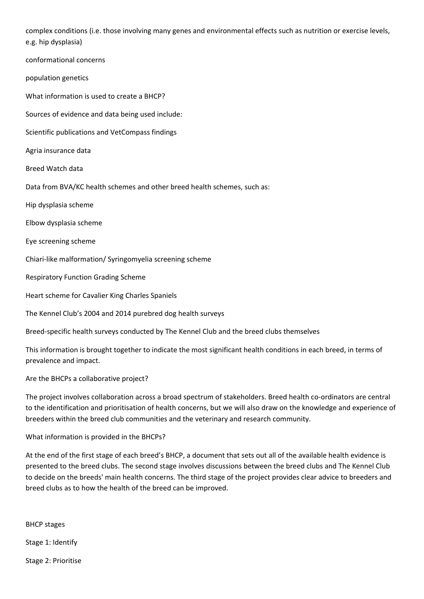complex conditions (i.e. those involving many genes and environmental effects such as nutrition or exercise levels, e.g. hip dysplasia)

conformational concerns

population genetics

What information is used to create a BHCP?

Sources of evidence and data being used include:

Scientific publications and VetCompass findings

Agria insurance data

Breed Watch data

Data from BVA/KC health schemes and other breed health schemes, such as:

Hip dysplasia scheme

Elbow dysplasia scheme

Eye screening scheme

Chiari-like malformation/ Syringomyelia screening scheme

Respiratory Function Grading Scheme

Heart scheme for Cavalier King Charles Spaniels

The Kennel Club's 2004 and 2014 purebred dog health surveys

Breed-specific health surveys conducted by The Kennel Club and the breed clubs themselves

This information is brought together to indicate the most significant health conditions in each breed, in terms of prevalence and impact.

Are the BHCPs a collaborative project?

The project involves collaboration across a broad spectrum of stakeholders. Breed health co-ordinators are central to the identification and prioritisation of health concerns, but we will also draw on the knowledge and experience of breeders within the breed club communities and the veterinary and research community.

What information is provided in the BHCPs?

At the end of the first stage of each breed's BHCP, a document that sets out all of the available health evidence is presented to the breed clubs. The second stage involves discussions between the breed clubs and The Kennel Club to decide on the breeds' main health concerns. The third stage of the project provides clear advice to breeders and breed clubs as to how the health of the breed can be improved.

BHCP stages

Stage 1: Identify

Stage 2: Prioritise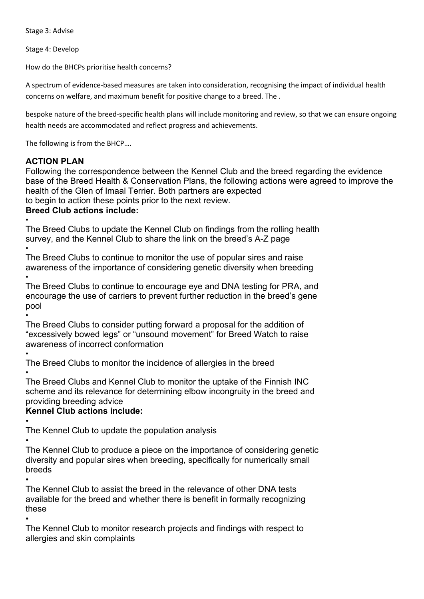Stage 3: Advise

Stage 4: Develop

How do the BHCPs prioritise health concerns?

A spectrum of evidence-based measures are taken into consideration, recognising the impact of individual health concerns on welfare, and maximum benefit for positive change to a breed. The .

bespoke nature of the breed-specific health plans will include monitoring and review, so that we can ensure ongoing health needs are accommodated and reflect progress and achievements.

The following is from the BHCP….

### **ACTION PLAN**

Following the correspondence between the Kennel Club and the breed regarding the evidence base of the Breed Health & Conservation Plans, the following actions were agreed to improve the health of the Glen of Imaal Terrier. Both partners are expected to begin to action these points prior to the next review.

**Breed Club actions include:**

•

The Breed Clubs to update the Kennel Club on findings from the rolling health survey, and the Kennel Club to share the link on the breed's A-Z page

• The Breed Clubs to continue to monitor the use of popular sires and raise awareness of the importance of considering genetic diversity when breeding •

The Breed Clubs to continue to encourage eye and DNA testing for PRA, and encourage the use of carriers to prevent further reduction in the breed's gene pool

• The Breed Clubs to consider putting forward a proposal for the addition of "excessively bowed legs" or "unsound movement" for Breed Watch to raise awareness of incorrect conformation

•

The Breed Clubs to monitor the incidence of allergies in the breed

• The Breed Clubs and Kennel Club to monitor the uptake of the Finnish INC scheme and its relevance for determining elbow incongruity in the breed and providing breeding advice

## **Kennel Club actions include:**

• The Kennel Club to update the population analysis

• The Kennel Club to produce a piece on the importance of considering genetic diversity and popular sires when breeding, specifically for numerically small breeds

• The Kennel Club to assist the breed in the relevance of other DNA tests available for the breed and whether there is benefit in formally recognizing these

• The Kennel Club to monitor research projects and findings with respect to allergies and skin complaints